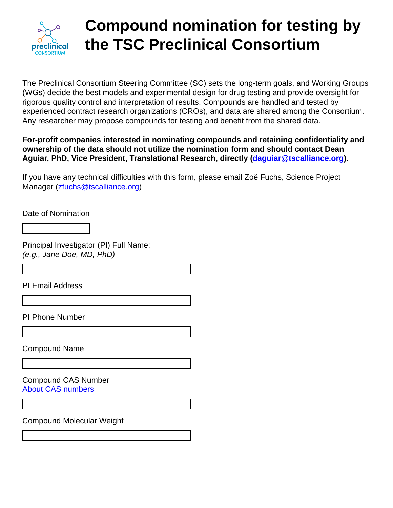

# **Compound nomination for testing by the TSC Preclinical Consortium**

The Preclinical Consortium Steering Committee (SC) sets the long-term goals, and Working Groups (WGs) decide the best models and experimental design for drug testing and provide oversight for rigorous quality control and interpretation of results. Compounds are handled and tested by experienced contract research organizations (CROs), and data are shared among the Consortium. Any researcher may propose compounds for testing and benefit from the shared data.

### **For-profit companies interested in nominating compounds and retaining confidentiality and ownership of the data should not utilize the nomination form and should contact Dean Aguiar, PhD, Vice President, Translational Research, directly ([daguiar@tscalliance.org\)](mailto:daguiar@tscalliance.org).**

If you have any technical difficulties with this form, please email Zoë Fuchs, Science Project Manager ([zfuchs@tscalliance.org\)](mailto:zfuchs@tscalliance.org)

Date of Nomination

Principal Investigator (PI) Full Name: *(e.g., Jane Doe, MD, PhD)*

PI Email Address

PI Phone Number

Compound Name

Compound CAS Number [About CAS numbers](https://www.cas.org/support/documentation/chemical-substances/faqs)

Compound Molecular Weight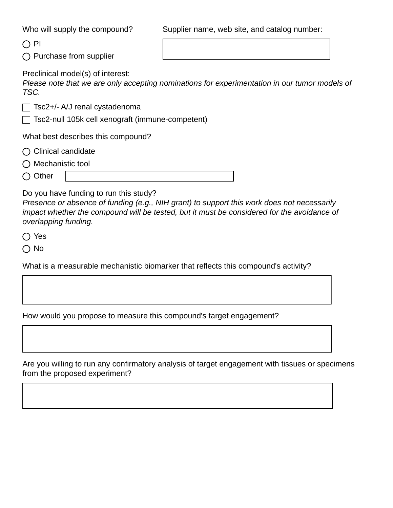Who will supply the compound?

Supplier name, web site, and catalog number:

 $\bigcirc$  PI

 $\bigcap$  Purchase from supplier

Preclinical model(s) of interest:

*Please note that we are only accepting nominations for experimentation in our tumor models of TSC.*

 $\Box$  Tsc2+/- A/J renal cystadenoma

 $\Box$  Tsc2-null 105k cell xenograft (immune-competent)

What best describes this compound?

- $\bigcirc$  Clinical candidate
- $\bigcap$  Mechanistic tool
- $\bigcirc$  Other

Do you have funding to run this study?

*Presence or absence of funding (e.g., NIH grant) to support this work does not necessarily impact whether the compound will be tested, but it must be considered for the avoidance of overlapping funding.*

◯ Yes

∩ No

What is a measurable mechanistic biomarker that reflects this compound's activity?

How would you propose to measure this compound's target engagement?

Are you willing to run any confirmatory analysis of target engagement with tissues or specimens from the proposed experiment?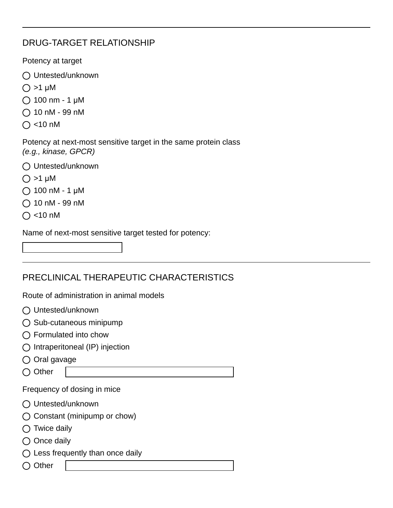## DRUG-TARGET RELATIONSHIP

Potency at target

- ◯ Untested/unknown
- $\bigcirc$  >1 μM
- $\bigcap$  100 nm 1 μM
- $\bigcirc$  10 nM 99 nM
- $\bigcap$  <10 nM

Potency at next-most sensitive target in the same protein class *(e.g., kinase, GPCR)*

- ◯ Untested/unknown
- $\bigcirc$  >1 μM
- $O$  100 nM 1  $\mu$ M
- $\bigcirc$  10 nM 99 nM
- $\bigcap$  <10 nM

Name of next-most sensitive target tested for potency:

## PRECLINICAL THERAPEUTIC CHARACTERISTICS

Route of administration in animal models

- ◯ Untested/unknown
- $\bigcirc$  Sub-cutaneous minipump
- $\bigcap$  Formulated into chow
- $\bigcap$  Intraperitoneal (IP) injection
- $\bigcirc$  Oral gavage
- $\bigcirc$  Other

Frequency of dosing in mice

- ◯ Untested/unknown
- ◯ Constant (minipump or chow)
- $\bigcirc$  Twice daily
- $\bigcirc$  Once daily
- $\bigcap$  Less frequently than once daily
- $\bigcirc$  Other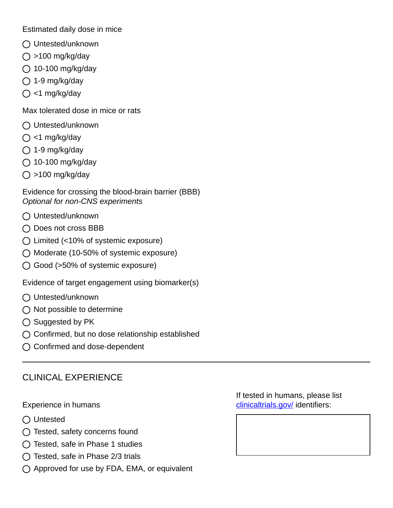Estimated daily dose in mice

- ◯ Untested/unknown
- $\bigcirc$  >100 mg/kg/day
- $\bigcirc$  10-100 mg/kg/day
- $\bigcirc$  1-9 mg/kg/day
- $\bigcirc$  <1 mg/kg/day

Max tolerated dose in mice or rats

- ◯ Untested/unknown
- $\bigcirc$  <1 mg/kg/day
- $\bigcirc$  1-9 mg/kg/day
- $\bigcirc$  10-100 mg/kg/day
- $\bigcirc$  >100 mg/kg/day

Evidence for crossing the blood-brain barrier (BBB) *Optional for non-CNS experiments*

- ◯ Untested/unknown
- $\bigcap$  Does not cross BBB
- $\bigcirc$  Limited (<10% of systemic exposure)
- $\bigcirc$  Moderate (10-50% of systemic exposure)
- ◯ Good (>50% of systemic exposure)

Evidence of target engagement using biomarker(s)

- ◯ Untested/unknown
- $\bigcirc$  Not possible to determine
- $\bigcirc$  Suggested by PK
- $\bigcirc$  Confirmed, but no dose relationship established
- $\bigcap$  Confirmed and dose-dependent

### CLINICAL EXPERIENCE

#### Experience in humans

- ◯ Untested
- $\bigcirc$  Tested, safety concerns found
- $\bigcap$  Tested, safe in Phase 1 studies
- $\bigcirc$  Tested, safe in Phase 2/3 trials
- $\bigcirc$  Approved for use by FDA, EMA, or equivalent

If tested in humans, please list [clinicaltrials.gov/](https://clinicaltrials.gov/) identifiers: